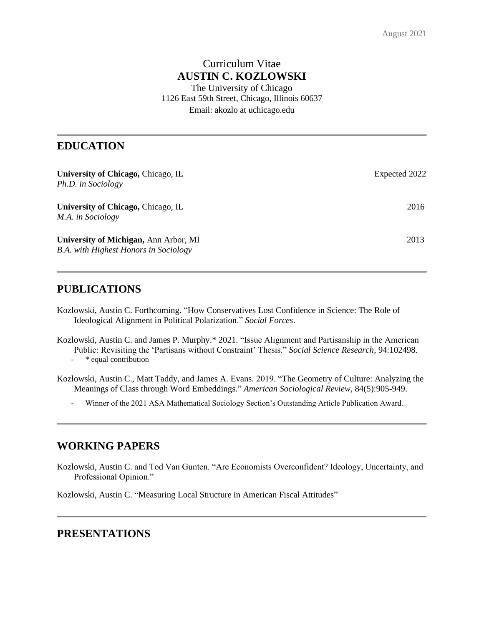# Curriculum Vitae **AUSTIN C. KOZLOWSKI**

The University of Chicago 1126 East 59th Street, Chicago, Illinois 60637 Email: akozlo at uchicago.edu

## **EDUCATION**

| University of Chicago, Chicago, IL<br>Ph.D. in Sociology                              | Expected 2022 |
|---------------------------------------------------------------------------------------|---------------|
| University of Chicago, Chicago, IL<br>M.A. in Sociology                               | 2016          |
| University of Michigan, Ann Arbor, MI<br><b>B.A.</b> with Highest Honors in Sociology | 2013          |

## **PUBLICATIONS**

- Kozlowski, Austin C. Forthcoming. "How Conservatives Lost Confidence in Science: The Role of Ideological Alignment in Political Polarization." *Social Forces*.
- Kozlowski, Austin C. and James P. Murphy.\* 2021. "Issue Alignment and Partisanship in the American Public: Revisiting the 'Partisans without Constraint' Thesis." *Social Science Research,* 94:102498*. -* \* equal contribution
- Kozlowski, Austin C., Matt Taddy, and James A. Evans. 2019. "The Geometry of Culture: Analyzing the Meanings of Class through Word Embeddings." *American Sociological Review,* 84(5):905-949.
	- *-* Winner of the 2021 ASA Mathematical Sociology Section's Outstanding Article Publication Award.

## **WORKING PAPERS**

Kozlowski, Austin C. and Tod Van Gunten. "Are Economists Overconfident? Ideology, Uncertainty, and Professional Opinion."

Kozlowski, Austin C. "Measuring Local Structure in American Fiscal Attitudes"

## **PRESENTATIONS**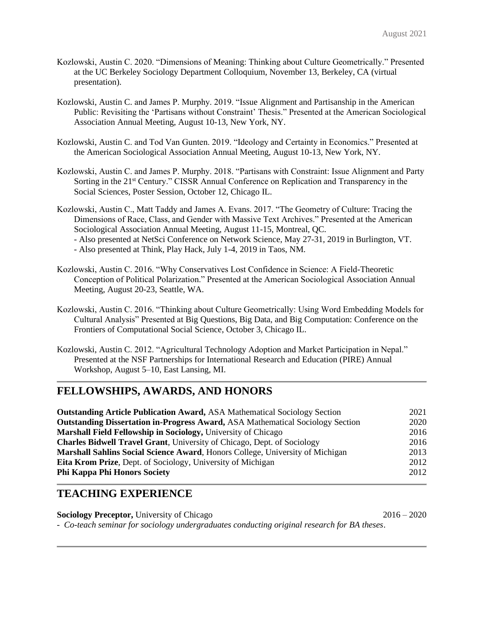- Kozlowski, Austin C. 2020. "Dimensions of Meaning: Thinking about Culture Geometrically." Presented at the UC Berkeley Sociology Department Colloquium, November 13, Berkeley, CA (virtual presentation).
- Kozlowski, Austin C. and James P. Murphy. 2019. "Issue Alignment and Partisanship in the American Public: Revisiting the 'Partisans without Constraint' Thesis." Presented at the American Sociological Association Annual Meeting, August 10-13, New York, NY.
- Kozlowski, Austin C. and Tod Van Gunten. 2019. "Ideology and Certainty in Economics." Presented at the American Sociological Association Annual Meeting, August 10-13, New York, NY.
- Kozlowski, Austin C. and James P. Murphy. 2018. "Partisans with Constraint: Issue Alignment and Party Sorting in the 21<sup>st</sup> Century." CISSR Annual Conference on Replication and Transparency in the Social Sciences, Poster Session, October 12, Chicago IL.
- Kozlowski, Austin C., Matt Taddy and James A. Evans. 2017. "The Geometry of Culture: Tracing the Dimensions of Race, Class, and Gender with Massive Text Archives." Presented at the American Sociological Association Annual Meeting, August 11-15, Montreal, QC. - Also presented at NetSci Conference on Network Science, May 27-31, 2019 in Burlington, VT. - Also presented at Think, Play Hack, July 1-4, 2019 in Taos, NM.
- Kozlowski, Austin C. 2016. "Why Conservatives Lost Confidence in Science: A Field-Theoretic Conception of Political Polarization." Presented at the American Sociological Association Annual Meeting, August 20-23, Seattle, WA.
- Kozlowski, Austin C. 2016. "Thinking about Culture Geometrically: Using Word Embedding Models for Cultural Analysis" Presented at Big Questions, Big Data, and Big Computation: Conference on the Frontiers of Computational Social Science, October 3, Chicago IL.
- Kozlowski, Austin C. 2012. "Agricultural Technology Adoption and Market Participation in Nepal." Presented at the NSF Partnerships for International Research and Education (PIRE) Annual Workshop, August 5–10, East Lansing, MI.

### **FELLOWSHIPS, AWARDS, AND HONORS**

| <b>Outstanding Article Publication Award, ASA Mathematical Sociology Section</b>      | 2021 |
|---------------------------------------------------------------------------------------|------|
| <b>Outstanding Dissertation in-Progress Award, ASA Mathematical Sociology Section</b> | 2020 |
| Marshall Field Fellowship in Sociology, University of Chicago                         | 2016 |
| <b>Charles Bidwell Travel Grant, University of Chicago, Dept. of Sociology</b>        | 2016 |
| Marshall Sahlins Social Science Award, Honors College, University of Michigan         | 2013 |
| <b>Eita Krom Prize, Dept. of Sociology, University of Michigan</b>                    | 2012 |
| <b>Phi Kappa Phi Honors Society</b>                                                   | 2012 |

#### **TEACHING EXPERIENCE**

**Sociology Preceptor,** University of Chicago 2016 – 2020 - *Co-teach seminar for sociology undergraduates conducting original research for BA theses*.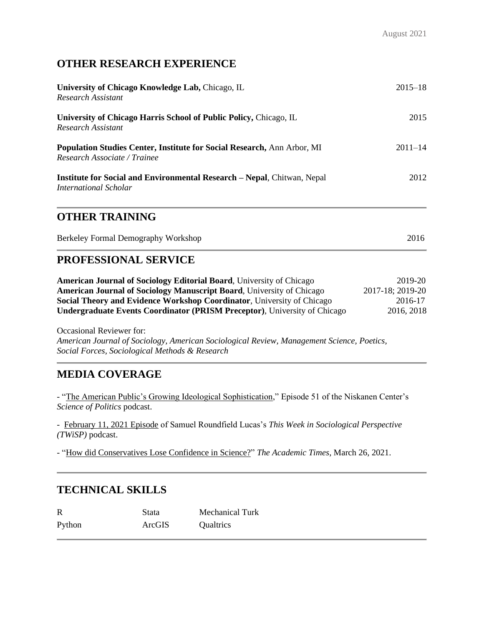# **OTHER RESEARCH EXPERIENCE**

| University of Chicago Knowledge Lab, Chicago, IL<br>Research Assistant                                  | $2015 - 18$ |
|---------------------------------------------------------------------------------------------------------|-------------|
| University of Chicago Harris School of Public Policy, Chicago, IL<br>Research Assistant                 | 2015        |
| Population Studies Center, Institute for Social Research, Ann Arbor, MI<br>Research Associate / Trainee | $2011 - 14$ |
| <b>Institute for Social and Environmental Research – Nepal, Chitwan, Nepal</b><br>International Scholar | 2012        |
| <b>OTHER TRAINING</b>                                                                                   |             |
| Berkeley Formal Demography Workshop                                                                     | 2016        |
| <b>PROFESSIONAL SERVICE</b>                                                                             |             |

| <b>American Journal of Sociology Editorial Board, University of Chicago</b>      | 2019-20          |
|----------------------------------------------------------------------------------|------------------|
| American Journal of Sociology Manuscript Board, University of Chicago            | 2017-18; 2019-20 |
| <b>Social Theory and Evidence Workshop Coordinator, University of Chicago</b>    | 2016-17          |
| <b>Undergraduate Events Coordinator (PRISM Preceptor), University of Chicago</b> | 2016, 2018       |

Occasional Reviewer for: *American Journal of Sociology, American Sociological Review, Management Science, Poetics, Social Forces, Sociological Methods & Research*

## **MEDIA COVERAGE**

- ["The American Public's Growing Ideological Sophistication,](https://www.niskanencenter.org/the-american-publics-growing-ideological-sophistication/)" Episode 51 of the Niskanen Center's *Science of Politics* podcast.

- [February 11, 2021 Episode](http://twispvideo.com/twisp-2021-m02-thu11-video) of Samuel Roundfield Lucas's *This Week in Sociological Perspective (TWiSP)* podcast.

- ["How did Conservatives Lose Confidence in Science?"](https://academictimes.com/how-did-conservatives-lose-confidence-in-science/) *The Academic Times*, March 26, 2021.

## **TECHNICAL SKILLS**

| R      | Stata  | Mechanical Turk |
|--------|--------|-----------------|
| Python | ArcGIS | Qualtrics       |